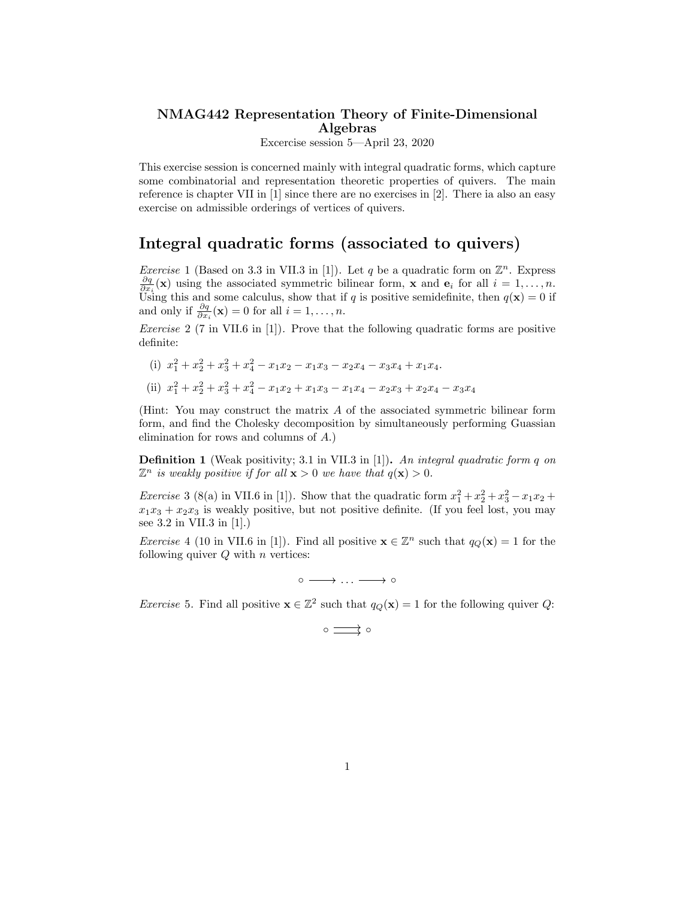## NMAG442 Representation Theory of Finite-Dimensional Algebras

Excercise session 5—April 23, 2020

This exercise session is concerned mainly with integral quadratic forms, which capture some combinatorial and representation theoretic properties of quivers. The main reference is chapter VII in [1] since there are no exercises in [2]. There ia also an easy exercise on admissible orderings of vertices of quivers.

## Integral quadratic forms (associated to quivers)

*Exercise* 1 (Based on 3.3 in VII.3 in [1]). Let *q* be a quadratic form on  $\mathbb{Z}^n$ . Express  $\frac{\partial q}{\partial x_i}(\mathbf{x})$  using the associated symmetric bilinear form, **x** and **e**<sub>*i*</sub> for all *i* = 1, ..., *n*. Using this and some calculus, show that if *q* is positive semidefinite, then  $q(\mathbf{x}) = 0$  if and only if  $\frac{\partial q}{\partial x_i}(\mathbf{x}) = 0$  for all  $i = 1, \ldots, n$ .

*Exercise* 2 (7 in VII.6 in [1])*.* Prove that the following quadratic forms are positive definite:

- (i)  $x_1^2 + x_2^2 + x_3^2 + x_4^2 x_1x_2 x_1x_3 x_2x_4 x_3x_4 + x_1x_4$ .
- (ii)  $x_1^2 + x_2^2 + x_3^2 + x_4^2 x_1x_2 + x_1x_3 x_1x_4 x_2x_3 + x_2x_4 x_3x_4$

(Hint: You may construct the matrix *A* of the associated symmetric bilinear form form, and find the Cholesky decomposition by simultaneously performing Guassian elimination for rows and columns of *A*.)

Definition 1 (Weak positivity; 3.1 in VII.3 in [1]). *An integral quadratic form q on*  $\mathbb{Z}^n$  *is weakly positive if for all*  $\mathbf{x} > 0$  *we have that*  $q(\mathbf{x}) > 0$ *.* 

*Exercise* 3 (8(a) in VII.6 in [1]). Show that the quadratic form  $x_1^2 + x_2^2 + x_3^2 - x_1x_2 +$  $x_1x_3 + x_2x_3$  is weakly positive, but not positive definite. (If you feel lost, you may see 3.2 in VII.3 in [1].)

*Exercise* 4 (10 in VII.6 in [1]). Find all positive  $\mathbf{x} \in \mathbb{Z}^n$  such that  $q_Q(\mathbf{x}) = 1$  for the following quiver *Q* with *n* vertices:

◦ *. . .* ◦

*Exercise* 5. Find all positive  $\mathbf{x} \in \mathbb{Z}^2$  such that  $q_Q(\mathbf{x}) = 1$  for the following quiver *Q*:

$$
\circ \xrightarrow{\hspace*{1cm}} \circ
$$